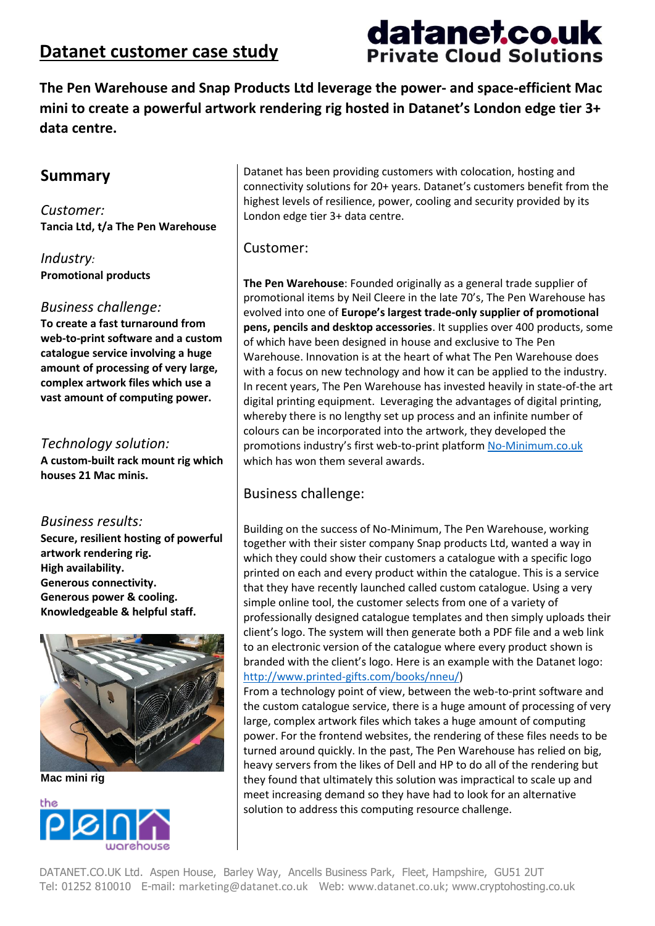## **Datanet customer case study**

# datanet.co.uk **Private Cloud Solutions**

**The Pen Warehouse and Snap Products Ltd leverage the power- and space-efficient Mac mini to create a powerful artwork rendering rig hosted in Datanet's London edge tier 3+ data centre.**

## **Summary**

*Customer:* **Tancia Ltd, t/a The Pen Warehouse**

*Industry:* **Promotional products**

#### *Business challenge:*

**To create a fast turnaround from web-to-print software and a custom catalogue service involving a huge amount of processing of very large, complex artwork files which use a vast amount of computing power.**

#### *Technology solution:*

**A custom-built rack mount rig which houses 21 Mac minis.**

#### *Business results:*

**Secure, resilient hosting of powerful artwork rendering rig. High availability. Generous connectivity. Generous power & cooling. Knowledgeable & helpful staff.**



**Mac mini rig**



Datanet has been providing customers with colocation, hosting and connectivity solutions for 20+ years. Datanet's customers benefit from the highest levels of resilience, power, cooling and security provided by its London edge tier 3+ data centre.

#### Customer:

**The Pen Warehouse**: Founded originally as a general trade supplier of promotional items by Neil Cleere in the late 70's, The Pen Warehouse has evolved into one of **Europe's largest trade-only supplier of promotional pens, pencils and desktop accessories**. It supplies over 400 products, some of which have been designed in house and exclusive to The Pen Warehouse. Innovation is at the heart of what The Pen Warehouse does with a focus on new technology and how it can be applied to the industry. In recent years, The Pen Warehouse has invested heavily in state-of-the art digital printing equipment. Leveraging the advantages of digital printing, whereby there is no lengthy set up process and an infinite number of colours can be incorporated into the artwork, they developed the promotions industry's first web-to-print platform [No-Minimum.co.uk](http://no-minimum.co.uk/) which has won them several awards.

## Business challenge:

Building on the success of No-Minimum, The Pen Warehouse, working together with their sister company Snap products Ltd, wanted a way in which they could show their customers a catalogue with a specific logo printed on each and every product within the catalogue. This is a service that they have recently launched called custom catalogue. Using a very simple online tool, the customer selects from one of a variety of professionally designed catalogue templates and then simply uploads their client's logo. The system will then generate both a PDF file and a web link to an electronic version of the catalogue where every product shown is branded with the client's logo. Here is an example with the Datanet logo: [http://www.printed-gifts.com/books/nneu/\)](http://www.printed-gifts.com/books/nneu/)

From a technology point of view, between the web-to-print software and the custom catalogue service, there is a huge amount of processing of very large, complex artwork files which takes a huge amount of computing power. For the frontend websites, the rendering of these files needs to be turned around quickly. In the past, The Pen Warehouse has relied on big, heavy servers from the likes of Dell and HP to do all of the rendering but they found that ultimately this solution was impractical to scale up and meet increasing demand so they have had to look for an alternative solution to address this computing resource challenge.